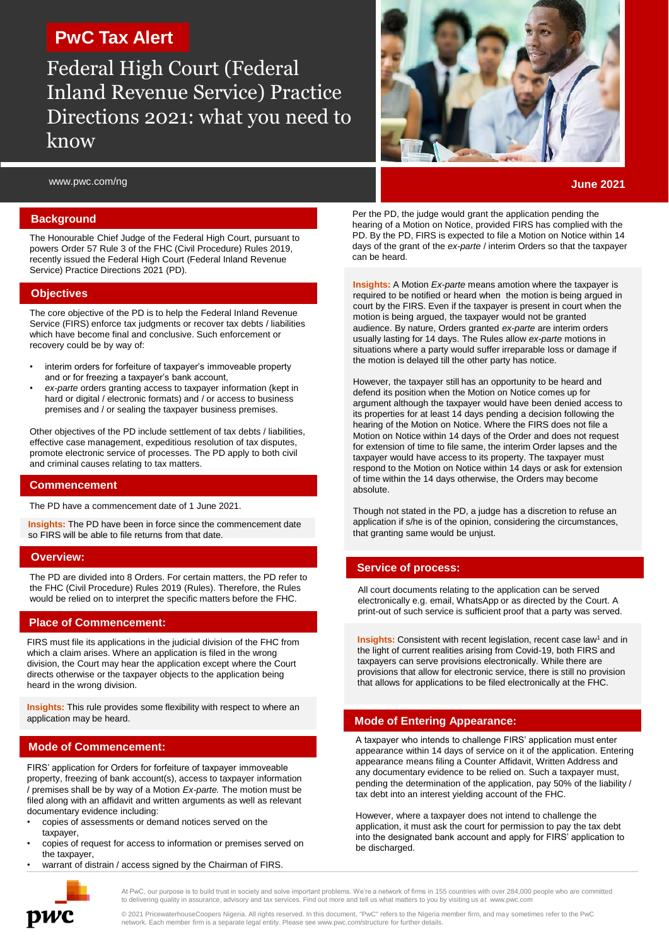# **PwC Tax Alert**

Federal High Court (Federal Inland Revenue Service) Practice Directions 2021: what you need to know

www.pwc.com/ng

### **Background**

The Honourable Chief Judge of the Federal High Court, pursuant to powers Order 57 Rule 3 of the FHC (Civil Procedure) Rules 2019, recently issued the Federal High Court (Federal Inland Revenue Service) Practice Directions 2021 (PD).

# **Objectives**

The core objective of the PD is to help the Federal Inland Revenue Service (FIRS) enforce tax judgments or recover tax debts / liabilities which have become final and conclusive. Such enforcement or recovery could be by way of:

- interim orders for forfeiture of taxpayer's immoveable property and or for freezing a taxpayer's bank account,
- *ex-parte* orders granting access to taxpayer information (kept in hard or digital / electronic formats) and / or access to business premises and / or sealing the taxpayer business premises.

Other objectives of the PD include settlement of tax debts / liabilities, effective case management, expeditious resolution of tax disputes, promote electronic service of processes. The PD apply to both civil and criminal causes relating to tax matters.

#### **Commencement**

The PD have a commencement date of 1 June 2021.

**Insights:** The PD have been in force since the commencement date so FIRS will be able to file returns from that date.

#### **Overview:**

The PD are divided into 8 Orders. For certain matters, the PD refer to the FHC (Civil Procedure) Rules 2019 (Rules). Therefore, the Rules would be relied on to interpret the specific matters before the FHC.

# **Place of Commencement:**

FIRS must file its applications in the judicial division of the FHC from which a claim arises. Where an application is filed in the wrong division, the Court may hear the application except where the Court directs otherwise or the taxpayer objects to the application being heard in the wrong division.

**Insights:** This rule provides some flexibility with respect to where an application may be heard.

#### **Mode of Commencement:**

FIRS' application for Orders for forfeiture of taxpayer immoveable property, freezing of bank account(s), access to taxpayer information / premises shall be by way of a Motion *Ex-parte.* The motion must be filed along with an affidavit and written arguments as well as relevant documentary evidence including:

- copies of assessments or demand notices served on the taxpayer,
- copies of request for access to information or premises served on the taxpayer,
- warrant of distrain / access signed by the Chairman of FIRS.



**June 2021**

Per the PD, the judge would grant the application pending the hearing of a Motion on Notice, provided FIRS has complied with the PD. By the PD, FIRS is expected to file a Motion on Notice within 14 days of the grant of the *ex-parte* / interim Orders so that the taxpayer can be heard.

**Insights:** A Motion *Ex-parte* means amotion where the taxpayer is required to be notified or heard when the motion is being argued in court by the FIRS. Even if the taxpayer is present in court when the motion is being argued, the taxpayer would not be granted audience. By nature, Orders granted *ex-parte* are interim orders usually lasting for 14 days. The Rules allow *ex-parte* motions in situations where a party would suffer irreparable loss or damage if the motion is delayed till the other party has notice.

However, the taxpayer still has an opportunity to be heard and defend its position when the Motion on Notice comes up for argument although the taxpayer would have been denied access to its properties for at least 14 days pending a decision following the hearing of the Motion on Notice. Where the FIRS does not file a Motion on Notice within 14 days of the Order and does not request for extension of time to file same, the interim Order lapses and the taxpayer would have access to its property. The taxpayer must respond to the Motion on Notice within 14 days or ask for extension of time within the 14 days otherwise, the Orders may become absolute.

Though not stated in the PD, a judge has a discretion to refuse an application if s/he is of the opinion, considering the circumstances, that granting same would be unjust.

# **Service of process:**

All court documents relating to the application can be served electronically e.g. email, WhatsApp or as directed by the Court. A print-out of such service is sufficient proof that a party was served.

**Insights:** Consistent with recent legislation, recent case law<sup>1</sup> and in the light of current realities arising from Covid-19, both FIRS and taxpayers can serve provisions electronically. While there are provisions that allow for electronic service, there is still no provision that allows for applications to be filed electronically at the FHC.

#### **Mode of Entering Appearance:**

A taxpayer who intends to challenge FIRS' application must enter appearance within 14 days of service on it of the application. Entering appearance means filing a Counter Affidavit, Written Address and any documentary evidence to be relied on. Such a taxpayer must, pending the determination of the application, pay 50% of the liability / tax debt into an interest yielding account of the FHC.

However, where a taxpayer does not intend to challenge the application, it must ask the court for permission to pay the tax debt into the designated bank account and apply for FIRS' application to be discharged.



At PwC, our purpose is to build trust in society and solve important problems. We're a network of firms in 155 countries with over 284,000 people who are committed to delivering quality in assurance, advisory and tax services. Find out more and tell us what matters to you by visiting us at www.pwc.com

© 2021 PricewaterhouseCoopers Nigeria. All rights reserved. In this document, "PwC" refers to the Nigeria member firm, and may sometimes refer to the PwC network. Each member firm is a separate legal entity. Please see www.pwc.com/structure for further details.